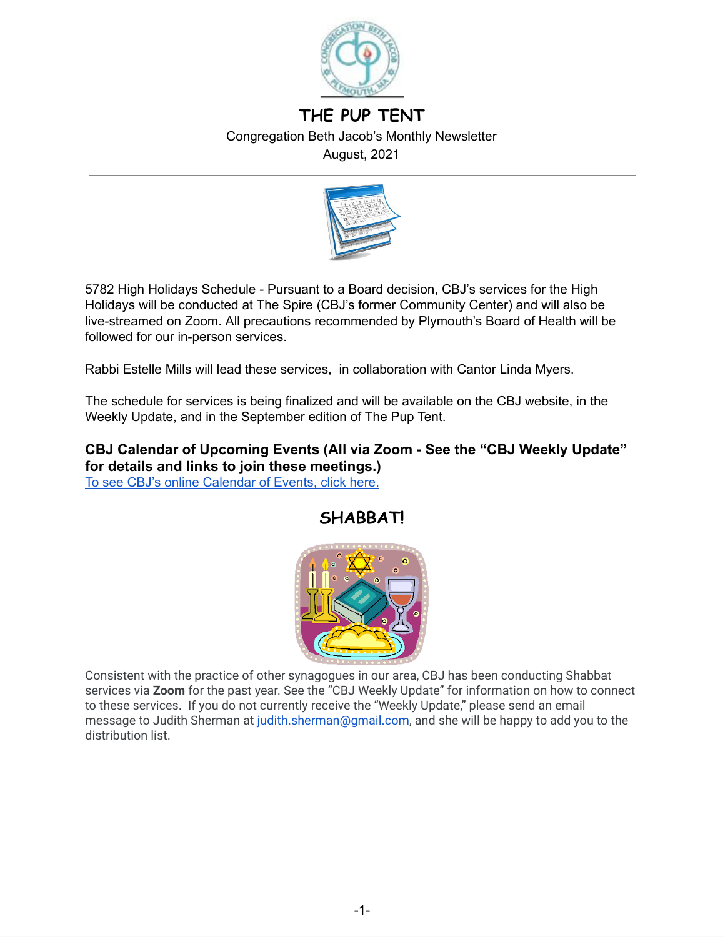

# **THE PUP TENT** Congregation Beth Jacob's Monthly Newsletter August, 2021



5782 High Holidays Schedule - Pursuant to a Board decision, CBJ's services for the High Holidays will be conducted at The Spire (CBJ's former Community Center) and will also be live-streamed on Zoom. All precautions recommended by Plymouth's Board of Health will be followed for our in-person services.

Rabbi Estelle Mills will lead these services, in collaboration with Cantor Linda Myers.

The schedule for services is being finalized and will be available on the CBJ website, in the Weekly Update, and in the September edition of The Pup Tent.

## **CBJ Calendar of Upcoming Events (All via Zoom - See the "CBJ Weekly Update" for details and links to join these meetings.)** To see CBJ's online [Calendar](http://cbjplymouth.org/) of Events, click here.



Consistent with the practice of other synagogues in our area, CBJ has been conducting Shabbat services via **Zoom** for the past year. See the "CBJ Weekly Update" for information on how to connect to these services. If you do not currently receive the "Weekly Update," please send an email message to Judith Sherman at [judith.sherman@gmail.com,](mailto:judith.sherman@gmail.com) and she will be happy to add you to the distribution list.

# **SHABBAT!**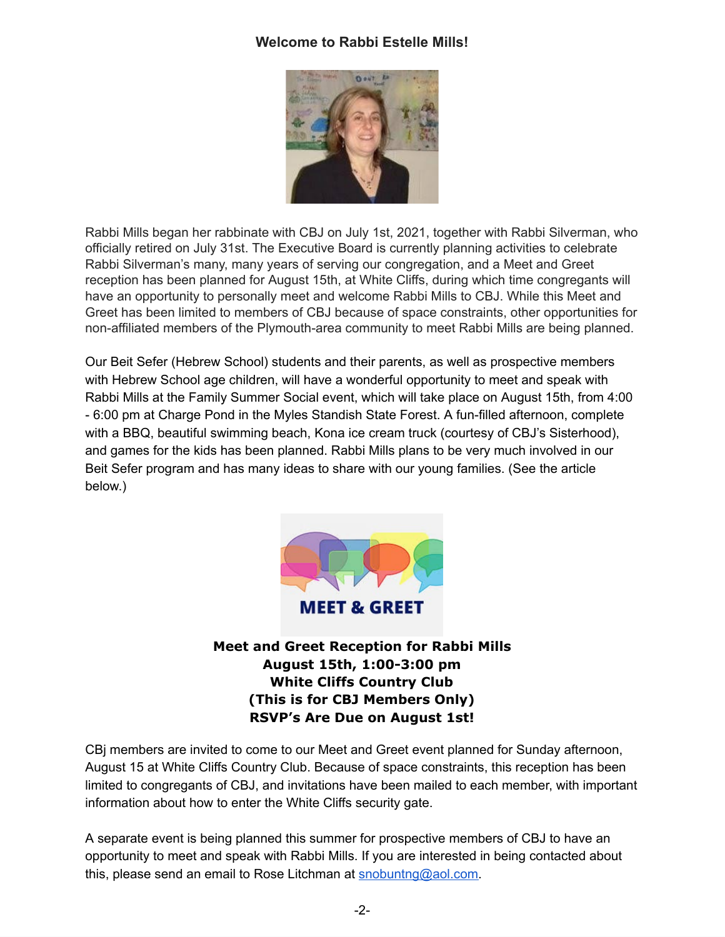## **Welcome to Rabbi Estelle Mills!**



Rabbi Mills began her rabbinate with CBJ on July 1st, 2021, together with Rabbi Silverman, who officially retired on July 31st. The Executive Board is currently planning activities to celebrate Rabbi Silverman's many, many years of serving our congregation, and a Meet and Greet reception has been planned for August 15th, at White Cliffs, during which time congregants will have an opportunity to personally meet and welcome Rabbi Mills to CBJ. While this Meet and Greet has been limited to members of CBJ because of space constraints, other opportunities for non-affiliated members of the Plymouth-area community to meet Rabbi Mills are being planned.

Our Beit Sefer (Hebrew School) students and their parents, as well as prospective members with Hebrew School age children, will have a wonderful opportunity to meet and speak with Rabbi Mills at the Family Summer Social event, which will take place on August 15th, from 4:00 - 6:00 pm at Charge Pond in the Myles Standish State Forest. A fun-filled afternoon, complete with a BBQ, beautiful swimming beach, Kona ice cream truck (courtesy of CBJ's Sisterhood), and games for the kids has been planned. Rabbi Mills plans to be very much involved in our Beit Sefer program and has many ideas to share with our young families. (See the article below.)



**Meet and Greet Reception for Rabbi Mills August 15th, 1:00-3:00 pm White Cliffs Country Club (This is for CBJ Members Only) RSVP's Are Due on August 1st!**

CBj members are invited to come to our Meet and Greet event planned for Sunday afternoon, August 15 at White Cliffs Country Club. Because of space constraints, this reception has been limited to congregants of CBJ, and invitations have been mailed to each member, with important information about how to enter the White Cliffs security gate.

A separate event is being planned this summer for prospective members of CBJ to have an opportunity to meet and speak with Rabbi Mills. If you are interested in being contacted about this, please send an email to Rose Litchman at [snobuntng@aol.com](mailto:snobuntng@aol.com).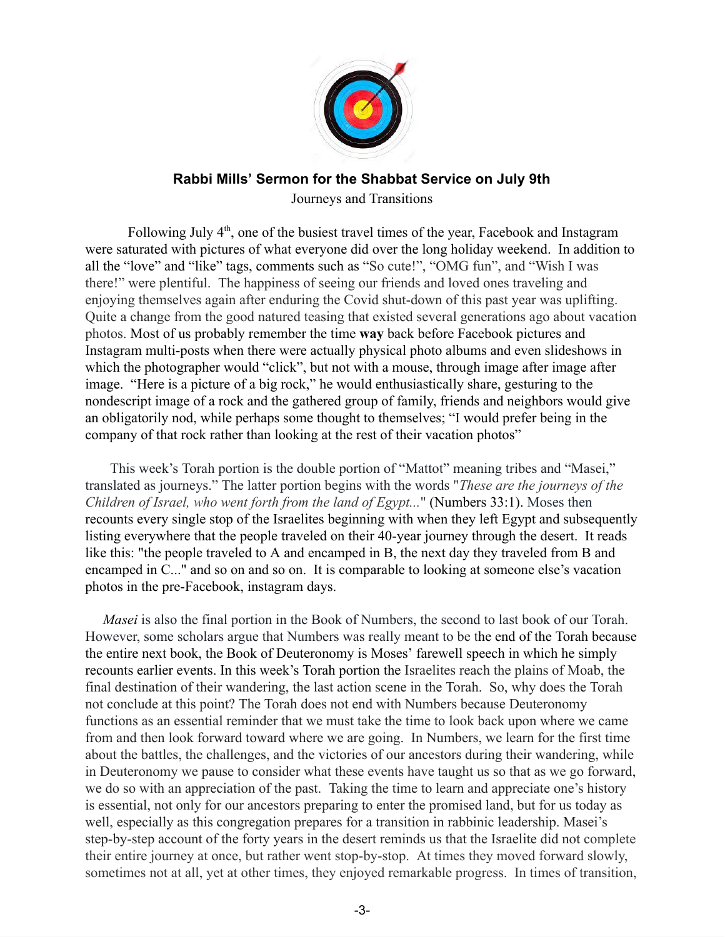

# **Rabbi Mills' Sermon for the Shabbat Service on July 9th**

Journeys and Transitions

Following July 4<sup>th</sup>, one of the busiest travel times of the year, Facebook and Instagram were saturated with pictures of what everyone did over the long holiday weekend. In addition to all the "love" and "like" tags, comments such as "So cute!", "OMG fun", and "Wish I was there!" were plentiful. The happiness of seeing our friends and loved ones traveling and enjoying themselves again after enduring the Covid shut-down of this past year was uplifting. Quite a change from the good natured teasing that existed several generations ago about vacation photos. Most of us probably remember the time **way** back before Facebook pictures and Instagram multi-posts when there were actually physical photo albums and even slideshows in which the photographer would "click", but not with a mouse, through image after image after image. "Here is a picture of a big rock," he would enthusiastically share, gesturing to the nondescript image of a rock and the gathered group of family, friends and neighbors would give an obligatorily nod, while perhaps some thought to themselves; "I would prefer being in the company of that rock rather than looking at the rest of their vacation photos"

 This week's Torah portion is the double portion of "Mattot" meaning tribes and "Masei," translated as journeys." The latter portion begins with the words "*These are the journeys of the Children of Israel, who went forth from the land of Egypt...*" (Numbers 33:1). [Moses](https://www.myjewishlearning.com/texts/Bible/Torah/Exodus/Moses.shtml) then recounts every single stop of the Israelites beginning with when they left Egypt and subsequently listing everywhere that the people traveled on their 40-year journey through the desert. It reads like this: "the people traveled to A and encamped in B, the next day they traveled from B and encamped in C..." and so on and so on. It is comparable to looking at someone else's vacation photos in the pre-Facebook, instagram days.

 *Masei* is also the final portion in the Book of Numbers, the second to last book of our Torah. However, some scholars argue that Numbers was really meant to be the end of the Torah because the entire next book, the Book of Deuteronomy is Moses' farewell speech in which he simply recounts earlier events. In this week's Torah portion the Israelites reach the plains of Moab, the final destination of their wandering, the last action scene in the Torah. So, why does the Torah not conclude at this point? The Torah does not end with Numbers because Deuteronomy functions as an essential reminder that we must take the time to look back upon where we came from and then look forward toward where we are going. In Numbers, we learn for the first time about the battles, the challenges, and the victories of our ancestors during their wandering, while in Deuteronomy we pause to consider what these events have taught us so that as we go forward, we do so with an appreciation of the past. Taking the time to learn and appreciate one's history is essential, not only for our ancestors preparing to enter the promised land, but for us today as well, especially as this congregation prepares for a transition in rabbinic leadership. Masei's step-by-step account of the forty years in the desert reminds us that the Israelite did not complete their entire journey at once, but rather went stop-by-stop. At times they moved forward slowly, sometimes not at all, yet at other times, they enjoyed remarkable progress. In times of transition,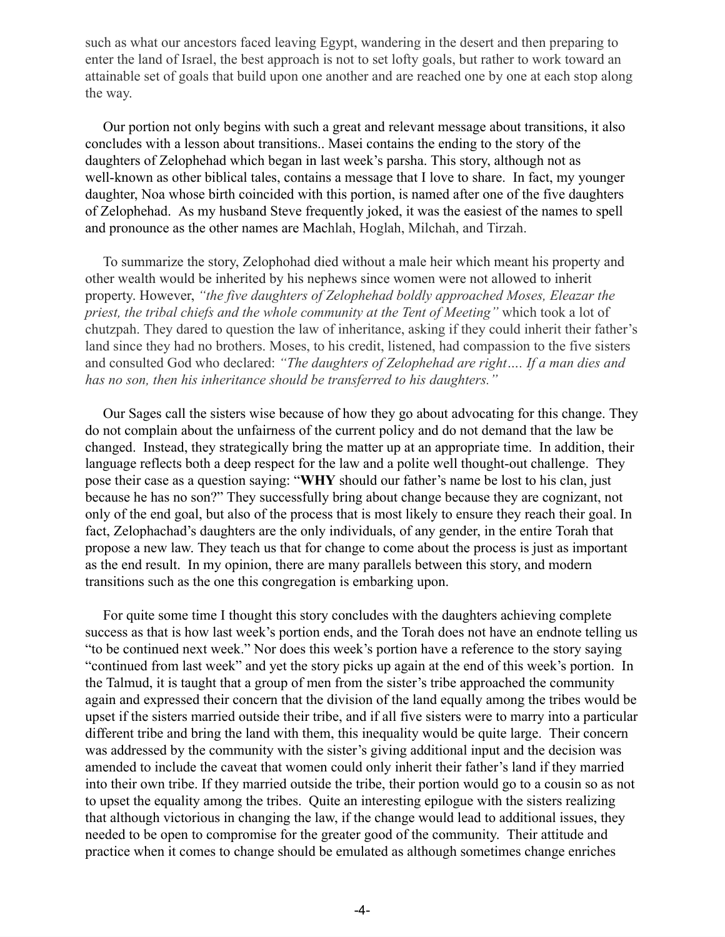such as what our ancestors faced leaving Egypt, wandering in the desert and then preparing to enter the land of Israel, the best approach is not to set lofty goals, but rather to work toward an attainable set of goals that build upon one another and are reached one by one at each stop along the way.

 Our portion not only begins with such a great and relevant message about transitions, it also concludes with a lesson about transitions.. Masei contains the ending to the story of the daughters of Zelophehad which began in last week's parsha. This story, although not as well-known as other biblical tales, contains a message that I love to share. In fact, my younger daughter, Noa whose birth coincided with this portion, is named after one of the five daughters of Zelophehad. As my husband Steve frequently joked, it was the easiest of the names to spell and pronounce as the other names are Machlah, Hoglah, Milchah, and Tirzah.

 To summarize the story, Zelophohad died without a male heir which meant his property and other wealth would be inherited by his nephews since women were not allowed to inherit property. However, *"the five daughters of Zelophehad boldly approached Moses, Eleazar the priest, the tribal chiefs and the whole community at the Tent of Meeting"* which took a lot of chutzpah. They dared to question the law of inheritance, asking if they could inherit their father's land since they had no brothers. Moses, to his credit, listened, had compassion to the five sisters and consulted God who declared: *"The daughters of Zelophehad are right…. If a man dies and has no son, then his inheritance should be transferred to his daughters."*

 Our Sages call the sisters wise because of how they go about advocating for this change. They do not complain about the unfairness of the current policy and do not demand that the law be changed. Instead, they strategically bring the matter up at an appropriate time. In addition, their language reflects both a deep respect for the law and a polite well thought-out challenge. They pose their case as a question saying: "**WHY** should our father's name be lost to his clan, just because he has no son?" They successfully bring about change because they are cognizant, not only of the end goal, but also of the process that is most likely to ensure they reach their goal. In fact, Zelophachad's daughters are the only individuals, of any gender, in the entire Torah that propose a new law. They teach us that for change to come about the process is just as important as the end result. In my opinion, there are many parallels between this story, and modern transitions such as the one this congregation is embarking upon.

 For quite some time I thought this story concludes with the daughters achieving complete success as that is how last week's portion ends, and the Torah does not have an endnote telling us "to be continued next week." Nor does this week's portion have a reference to the story saying "continued from last week" and yet the story picks up again at the end of this week's portion. In the Talmud, it is taught that a group of men from the sister's tribe approached the community again and expressed their concern that the division of the land equally among the tribes would be upset if the sisters married outside their tribe, and if all five sisters were to marry into a particular different tribe and bring the land with them, this inequality would be quite large. Their concern was addressed by the community with the sister's giving additional input and the decision was amended to include the caveat that women could only inherit their father's land if they married into their own tribe. If they married outside the tribe, their portion would go to a cousin so as not to upset the equality among the tribes. Quite an interesting epilogue with the sisters realizing that although victorious in changing the law, if the change would lead to additional issues, they needed to be open to compromise for the greater good of the community. Their attitude and practice when it comes to change should be emulated as although sometimes change enriches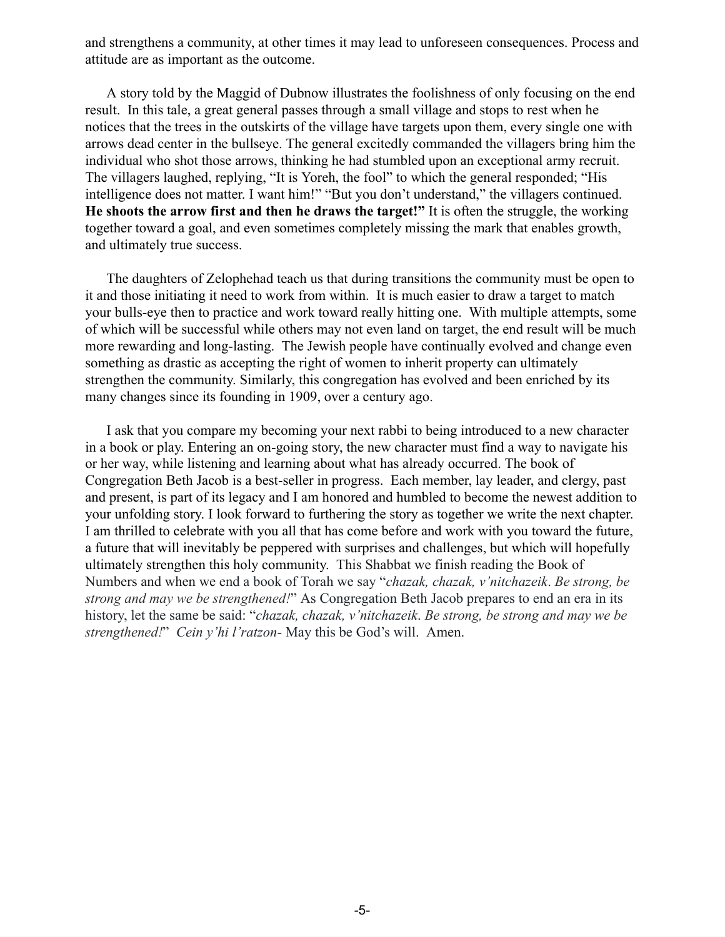and strengthens a community, at other times it may lead to unforeseen consequences. Process and attitude are as important as the outcome.

 A story told by the Maggid of Dubnow illustrates the foolishness of only focusing on the end result. In this tale, a great general passes through a small village and stops to rest when he notices that the trees in the outskirts of the village have targets upon them, every single one with arrows dead center in the bullseye. The general excitedly commanded the villagers bring him the individual who shot those arrows, thinking he had stumbled upon an exceptional army recruit. The villagers laughed, replying, "It is Yoreh, the fool" to which the general responded; "His intelligence does not matter. I want him!" "But you don't understand," the villagers continued. **He shoots the arrow first and then he draws the target!"** It is often the struggle, the working together toward a goal, and even sometimes completely missing the mark that enables growth, and ultimately true success.

 The daughters of Zelophehad teach us that during transitions the community must be open to it and those initiating it need to work from within. It is much easier to draw a target to match your bulls-eye then to practice and work toward really hitting one. With multiple attempts, some of which will be successful while others may not even land on target, the end result will be much more rewarding and long-lasting. The Jewish people have continually evolved and change even something as drastic as accepting the right of women to inherit property can ultimately strengthen the community. Similarly, this congregation has evolved and been enriched by its many changes since its founding in 1909, over a century ago.

 I ask that you compare my becoming your next rabbi to being introduced to a new character in a book or play. Entering an on-going story, the new character must find a way to navigate his or her way, while listening and learning about what has already occurred. The book of Congregation Beth Jacob is a best-seller in progress. Each member, lay leader, and clergy, past and present, is part of its legacy and I am honored and humbled to become the newest addition to your unfolding story. I look forward to furthering the story as together we write the next chapter. I am thrilled to celebrate with you all that has come before and work with you toward the future, a future that will inevitably be peppered with surprises and challenges, but which will hopefully ultimately strengthen this holy community. This Shabbat we finish reading the Book of Numbers and when we end a book of Torah we say "*chazak, chazak, v'nitchazeik*. *Be strong, be strong and may we be strengthened!*" As Congregation Beth Jacob prepares to end an era in its history, let the same be said: "*chazak, chazak, v'nitchazeik*. *Be strong, be strong and may we be strengthened!*" *Cein y'hi l'ratzon*- May this be God's will. Amen.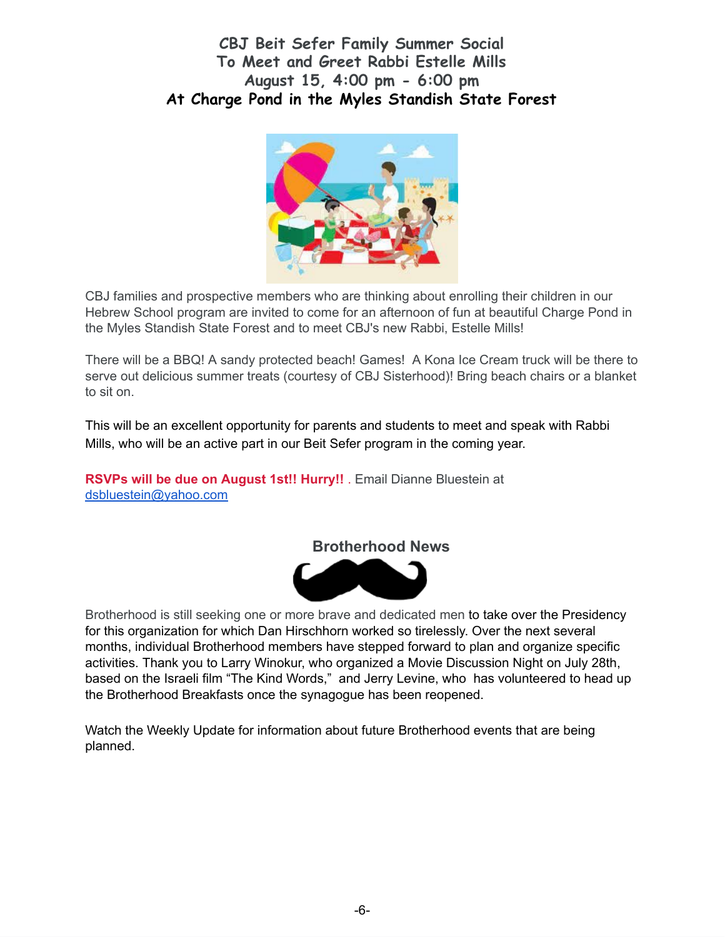# **CBJ Beit Sefer Family Summer Social To Meet and Greet Rabbi Estelle Mills August 15, 4:00 pm - 6:00 pm At Charge Pond in the Myles Standish State Forest**



CBJ families and prospective members who are thinking about enrolling their children in our Hebrew School program are invited to come for an afternoon of fun at beautiful Charge Pond in the Myles Standish State Forest and to meet CBJ's new Rabbi, Estelle Mills!

There will be a BBQ! A sandy protected beach! Games! A Kona Ice Cream truck will be there to serve out delicious summer treats (courtesy of CBJ Sisterhood)! Bring beach chairs or a blanket to sit on.

This will be an excellent opportunity for parents and students to meet and speak with Rabbi Mills, who will be an active part in our Beit Sefer program in the coming year.

**RSVPs will be due on August 1st!! Hurry!!** . Email Dianne Bluestein at [dsbluestein@yahoo.com](mailto:dsbluestein@yahoo.com)





Brotherhood is still seeking one or more brave and dedicated men to take over the Presidency for this organization for which Dan Hirschhorn worked so tirelessly. Over the next several months, individual Brotherhood members have stepped forward to plan and organize specific activities. Thank you to Larry Winokur, who organized a Movie Discussion Night on July 28th, based on the Israeli film "The Kind Words," and Jerry Levine, who has volunteered to head up the Brotherhood Breakfasts once the synagogue has been reopened.

Watch the Weekly Update for information about future Brotherhood events that are being planned.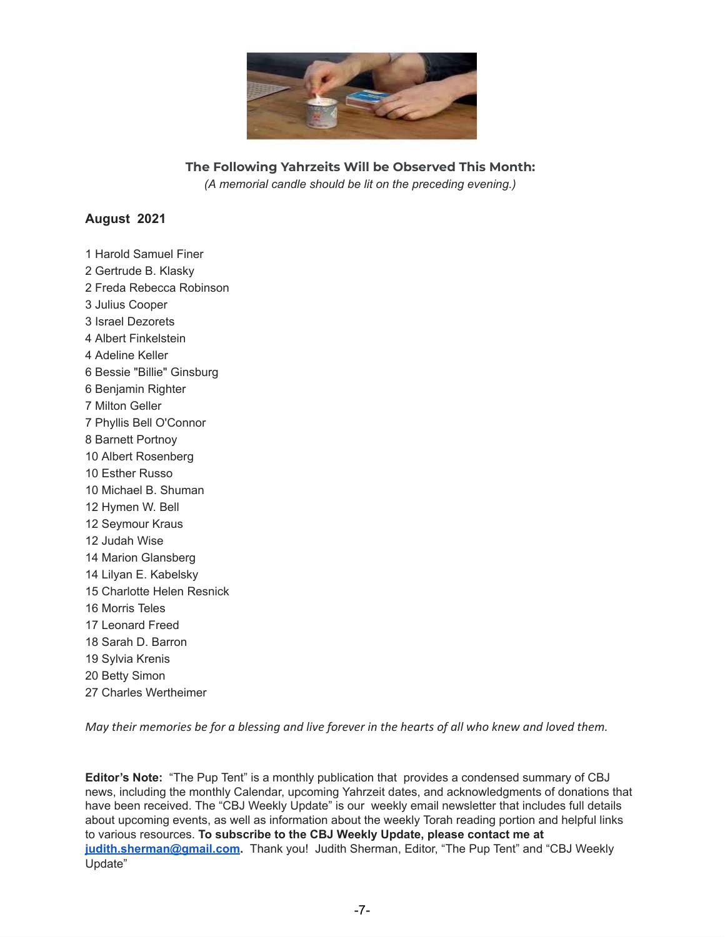

**The Following Yahrzeits Will be Observed This Month:** *(A memorial candle should be lit on the preceding evening.)*

#### **August 2021**

 Harold Samuel Finer Gertrude B. Klasky Freda Rebecca Robinson Julius Cooper Israel Dezorets Albert Finkelstein Adeline Keller Bessie "Billie" Ginsburg Benjamin Righter Milton Geller Phyllis Bell O'Connor Barnett Portnoy Albert Rosenberg Esther Russo Michael B. Shuman Hymen W. Bell Seymour Kraus Judah Wise Marion Glansberg Lilyan E. Kabelsky Charlotte Helen Resnick Morris Teles Leonard Freed Sarah D. Barron Sylvia Krenis Betty Simon Charles Wertheimer

May their memories be for a blessing and live forever in the hearts of all who knew and loved them.

**Editor's Note:** "The Pup Tent" is a monthly publication that provides a condensed summary of CBJ news, including the monthly Calendar, upcoming Yahrzeit dates, and acknowledgments of donations that have been received. The "CBJ Weekly Update" is our weekly email newsletter that includes full details about upcoming events, as well as information about the weekly Torah reading portion and helpful links to various resources. **To subscribe to the CBJ Weekly Update, please contact me at [judith.sherman@gmail.com](mailto:judith.sherman@gmail.com).** Thank you! Judith Sherman, Editor, "The Pup Tent" and "CBJ Weekly Update"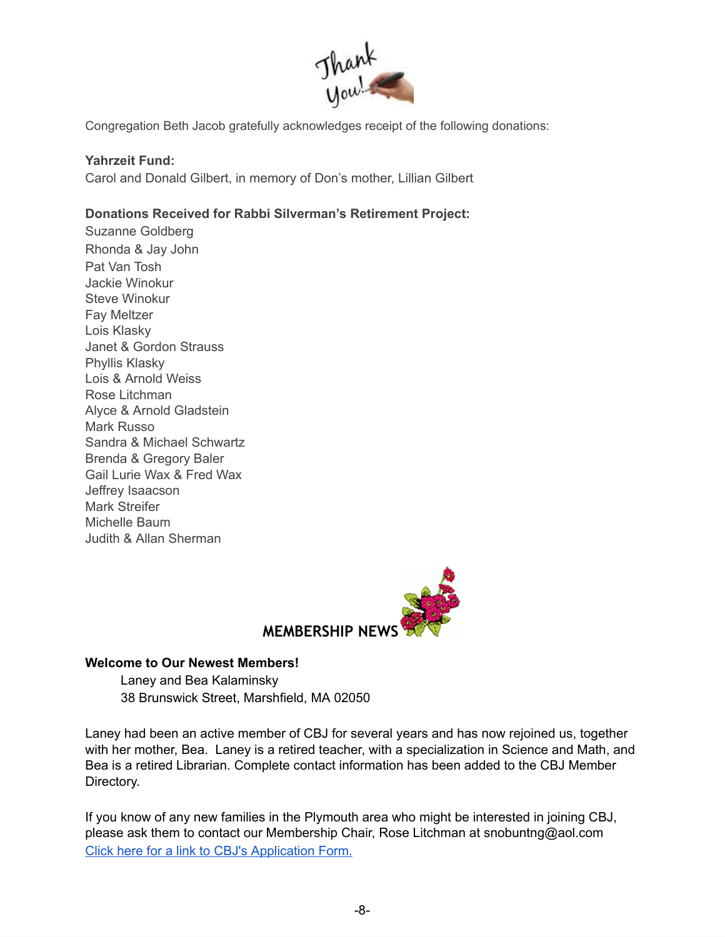

Congregation Beth Jacob gratefully acknowledges receipt of the following donations:

## **Yahrzeit Fund:**

Carol and Donald Gilbert, in memory of Don's mother, Lillian Gilbert

# **Donations Received for Rabbi Silverman's Retirement Project:**

Suzanne Goldberg Rhonda & Jay John Pat Van Tosh Jackie Winokur Steve Winokur Fay Meltzer Lois Klasky Janet & Gordon Strauss Phyllis Klasky Lois & Arnold Weiss Rose Litchman Alyce & Arnold Gladstein Mark Russo Sandra & Michael Schwartz Brenda & Gregory Baler Gail Lurie Wax & Fred Wax Jeffrey Isaacson Mark Streifer Michelle Baum Judith & Allan Sherman



#### **Welcome to Our Newest Members!**

Laney and Bea Kalaminsky 38 Brunswick Street, Marshfield, MA 02050

Laney had been an active member of CBJ for several years and has now rejoined us, together with her mother, Bea. Laney is a retired teacher, with a specialization in Science and Math, and Bea is a retired Librarian. Complete contact information has been added to the CBJ Member Directory.

If you know of any new families in the Plymouth area who might be interested in joining CBJ, please ask them to contact our Membership Chair, Rose Litchman at snobuntng@aol.com Click here for a link to CBJ's [Application](http://cbjplymouth.org/pdf/CBJ_Membership_form.pdf) Form.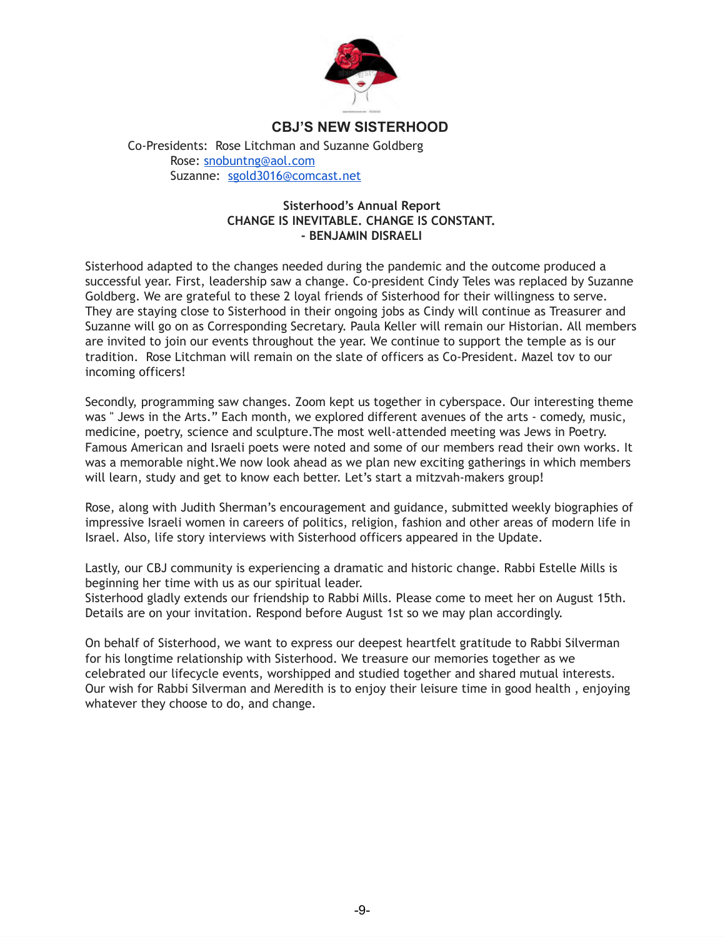

## **CBJ'S NEW SISTERHOOD**

Co-Presidents: Rose Litchman and Suzanne Goldberg Rose: [snobuntng@aol.com](mailto:snobuntng@aol.com) Suzanne: [sgold3016@comcast.net](mailto:sgold3016@comcast.net)

#### **Sisterhood's Annual Report CHANGE IS INEVITABLE. CHANGE IS CONSTANT. - BENJAMIN DISRAELI**

Sisterhood adapted to the changes needed during the pandemic and the outcome produced a successful year. First, leadership saw a change. Co-president Cindy Teles was replaced by Suzanne Goldberg. We are grateful to these 2 loyal friends of Sisterhood for their willingness to serve. They are staying close to Sisterhood in their ongoing jobs as Cindy will continue as Treasurer and Suzanne will go on as Corresponding Secretary. Paula Keller will remain our Historian. All members are invited to join our events throughout the year. We continue to support the temple as is our tradition. Rose Litchman will remain on the slate of officers as Co-President. Mazel tov to our incoming officers!

Secondly, programming saw changes. Zoom kept us together in cyberspace. Our interesting theme was " Jews in the Arts." Each month, we explored different avenues of the arts - comedy, music, medicine, poetry, science and sculpture.The most well-attended meeting was Jews in Poetry. Famous American and Israeli poets were noted and some of our members read their own works. It was a memorable night.We now look ahead as we plan new exciting gatherings in which members will learn, study and get to know each better. Let's start a mitzvah-makers group!

Rose, along with Judith Sherman's encouragement and guidance, submitted weekly biographies of impressive Israeli women in careers of politics, religion, fashion and other areas of modern life in Israel. Also, life story interviews with Sisterhood officers appeared in the Update.

Lastly, our CBJ community is experiencing a dramatic and historic change. Rabbi Estelle Mills is beginning her time with us as our spiritual leader.

Sisterhood gladly extends our friendship to Rabbi Mills. Please come to meet her on August 15th. Details are on your invitation. Respond before August 1st so we may plan accordingly.

On behalf of Sisterhood, we want to express our deepest heartfelt gratitude to Rabbi Silverman for his longtime relationship with Sisterhood. We treasure our memories together as we celebrated our lifecycle events, worshipped and studied together and shared mutual interests. Our wish for Rabbi Silverman and Meredith is to enjoy their leisure time in good health , enjoying whatever they choose to do, and change.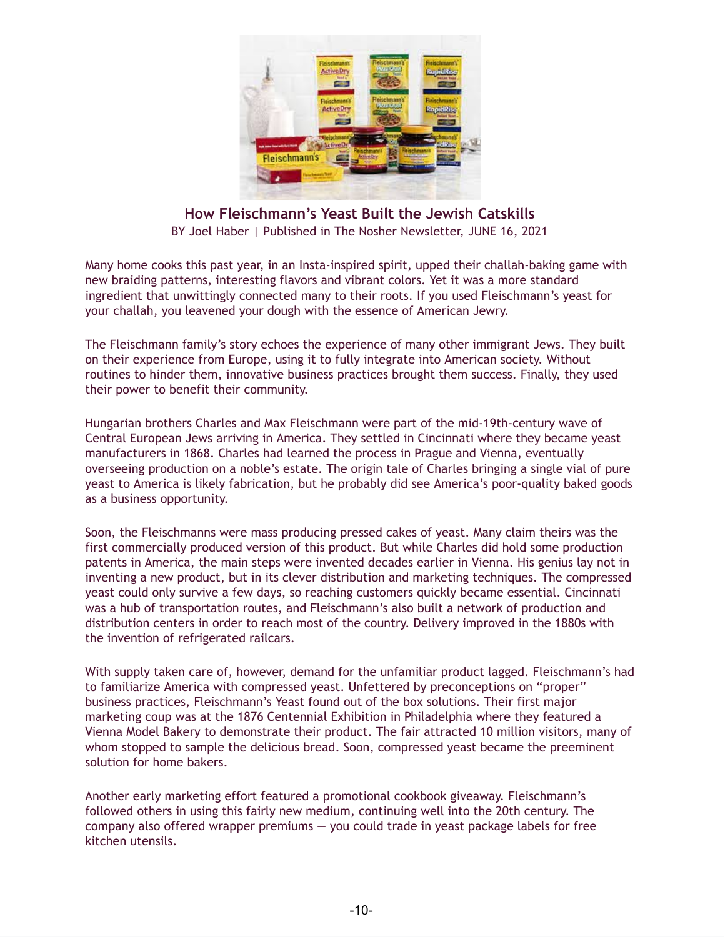

**How Fleischmann's Yeast Built the Jewish Catskills** BY Joel Haber | Published in The Nosher Newsletter, JUNE 16, 2021

Many home cooks this past year, in an Insta-inspired spirit, upped their challah-baking game with new braiding patterns, interesting flavors and vibrant colors. Yet it was a more standard ingredient that unwittingly connected many to their roots. If you used Fleischmann's yeast for your challah, you leavened your dough with the essence of American Jewry.

The Fleischmann family's story echoes the experience of many other immigrant Jews. They built on their experience from Europe, using it to fully integrate into American society. Without routines to hinder them, innovative business practices brought them success. Finally, they used their power to benefit their community.

Hungarian brothers Charles and Max Fleischmann were part of the mid-19th-century wave of Central European Jews arriving in America. They settled in Cincinnati where they became yeast manufacturers in 1868. Charles had learned the process in Prague and Vienna, eventually overseeing production on a noble's estate. The origin tale of Charles bringing a single vial of pure yeast to America is likely fabrication, but he probably did see America's poor-quality baked goods as a business opportunity.

Soon, the Fleischmanns were mass producing pressed cakes of yeast. Many claim theirs was the first commercially produced version of this product. But while Charles did hold some production patents in America, the main steps were invented decades earlier in Vienna. His genius lay not in inventing a new product, but in its clever distribution and marketing techniques. The compressed yeast could only survive a few days, so reaching customers quickly became essential. Cincinnati was a hub of transportation routes, and Fleischmann's also built a network of production and distribution centers in order to reach most of the country. Delivery improved in the 1880s with the invention of refrigerated railcars.

With supply taken care of, however, demand for the unfamiliar product lagged. Fleischmann's had to familiarize America with compressed yeast. Unfettered by preconceptions on "proper" business practices, Fleischmann's Yeast found out of the box solutions. Their first major marketing coup was at the 1876 Centennial Exhibition in Philadelphia where they featured a Vienna Model Bakery to demonstrate their product. The fair attracted 10 million visitors, many of whom stopped to sample the delicious bread. Soon, compressed yeast became the preeminent solution for home bakers.

Another early marketing effort featured a promotional cookbook giveaway. Fleischmann's followed others in using this fairly new medium, continuing well into the 20th century. The company also offered wrapper premiums  $-$  you could trade in yeast package labels for free kitchen utensils.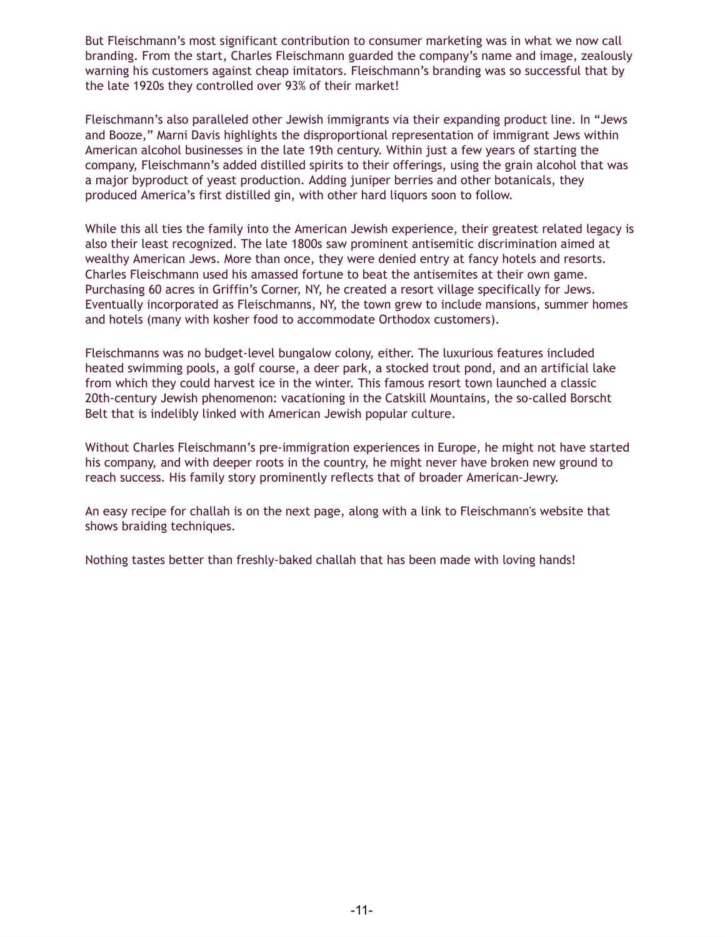But Fleischmann's most significant contribution to consumer marketing was in what we now call branding. From the start, Charles Fleischmann guarded the company's name and image, zealously warning his customers against cheap imitators. Fleischmann's branding was so successful that by the late 1920s they controlled over 93% of their market!

Fleischmann's also paralleled other Jewish immigrants via their expanding product line. In "Jews and Booze," Marni Davis highlights the disproportional representation of immigrant Jews within American alcohol businesses in the late 19th century. Within just a few years of starting the company, Fleischmann's added distilled spirits to their offerings, using the grain alcohol that was a major byproduct of yeast production. Adding juniper berries and other botanicals, they produced America's first distilled gin, with other hard liquors soon to follow.

While this all ties the family into the American Jewish experience, their greatest related legacy is also their least recognized. The late 1800s saw prominent antisemitic discrimination aimed at wealthy American Jews. More than once, they were denied entry at fancy hotels and resorts. Charles Fleischmann used his amassed fortune to beat the antisemites at their own game. Purchasing 60 acres in Griffin's Corner, NY, he created a resort village specifically for Jews. Eventually incorporated as Fleischmanns, NY, the town grew to include mansions, summer homes and hotels (many with kosher food to accommodate Orthodox customers).

Fleischmanns was no budget-level bungalow colony, either. The luxurious features included heated swimming pools, a golf course, a deer park, a stocked trout pond, and an artificial lake from which they could harvest ice in the winter. This famous resort town launched a classic 20th-century Jewish phenomenon: vacationing in the Catskill Mountains, the so-called Borscht Belt that is indelibly linked with American Jewish popular culture.

Without Charles Fleischmann's pre-immigration experiences in Europe, he might not have started his company, and with deeper roots in the country, he might never have broken new ground to reach success. His family story prominently reflects that of broader American-Jewry.

An easy recipe for challah is on the next page, along with a link to Fleischmann's website that shows braiding techniques.

Nothing tastes better than freshly-baked challah that has been made with loving hands!